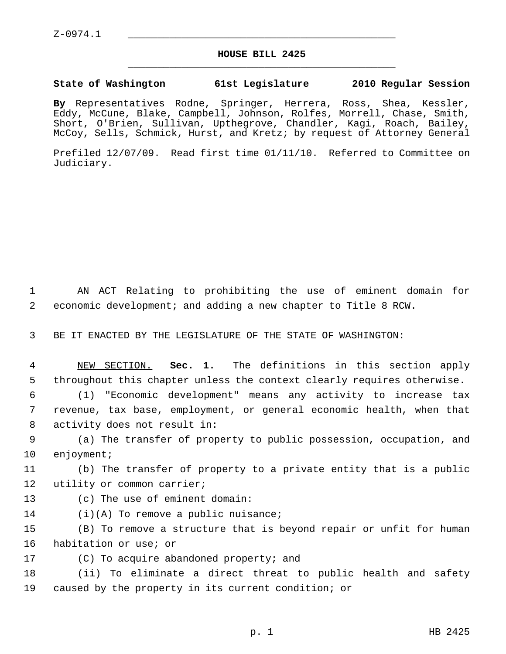## **HOUSE BILL 2425** \_\_\_\_\_\_\_\_\_\_\_\_\_\_\_\_\_\_\_\_\_\_\_\_\_\_\_\_\_\_\_\_\_\_\_\_\_\_\_\_\_\_\_\_\_

## **State of Washington 61st Legislature 2010 Regular Session**

**By** Representatives Rodne, Springer, Herrera, Ross, Shea, Kessler, Eddy, McCune, Blake, Campbell, Johnson, Rolfes, Morrell, Chase, Smith, Short, O'Brien, Sullivan, Upthegrove, Chandler, Kagi, Roach, Bailey, McCoy, Sells, Schmick, Hurst, and Kretz; by request of Attorney General

Prefiled 12/07/09. Read first time 01/11/10. Referred to Committee on Judiciary.

 1 AN ACT Relating to prohibiting the use of eminent domain for 2 economic development; and adding a new chapter to Title 8 RCW.

3 BE IT ENACTED BY THE LEGISLATURE OF THE STATE OF WASHINGTON:

 4 NEW SECTION. **Sec. 1.** The definitions in this section apply 5 throughout this chapter unless the context clearly requires otherwise.

 6 (1) "Economic development" means any activity to increase tax 7 revenue, tax base, employment, or general economic health, when that 8 activity does not result in:

 9 (a) The transfer of property to public possession, occupation, and 10 enjoyment;

11 (b) The transfer of property to a private entity that is a public 12 utility or common carrier;

- 13 (c) The use of eminent domain:
- 14 (i)(A) To remove a public nuisance;

15 (B) To remove a structure that is beyond repair or unfit for human 16 habitation or use; or

17 (C) To acquire abandoned property; and

18 (ii) To eliminate a direct threat to public health and safety 19 caused by the property in its current condition; or